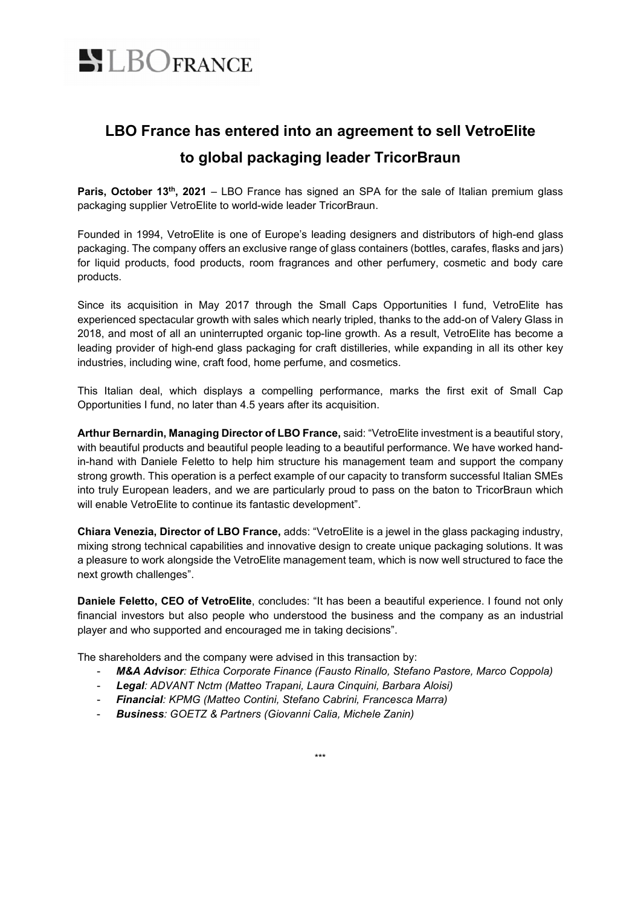

## **LBO France has entered into an agreement to sell VetroElite to global packaging leader TricorBraun**

Paris, October 13<sup>th</sup>, 2021 – LBO France has signed an SPA for the sale of Italian premium glass packaging supplier VetroElite to world-wide leader TricorBraun.

Founded in 1994, VetroElite is one of Europe's leading designers and distributors of high-end glass packaging. The company offers an exclusive range of glass containers (bottles, carafes, flasks and jars) for liquid products, food products, room fragrances and other perfumery, cosmetic and body care products.

Since its acquisition in May 2017 through the Small Caps Opportunities I fund, VetroElite has experienced spectacular growth with sales which nearly tripled, thanks to the add-on of Valery Glass in 2018, and most of all an uninterrupted organic top-line growth. As a result, VetroElite has become a leading provider of high-end glass packaging for craft distilleries, while expanding in all its other key industries, including wine, craft food, home perfume, and cosmetics.

This Italian deal, which displays a compelling performance, marks the first exit of Small Cap Opportunities I fund, no later than 4.5 years after its acquisition.

**Arthur Bernardin, Managing Director of LBO France,** said: "VetroElite investment is a beautiful story, with beautiful products and beautiful people leading to a beautiful performance. We have worked handin-hand with Daniele Feletto to help him structure his management team and support the company strong growth. This operation is a perfect example of our capacity to transform successful Italian SMEs into truly European leaders, and we are particularly proud to pass on the baton to TricorBraun which will enable VetroElite to continue its fantastic development".

**Chiara Venezia, Director of LBO France,** adds: "VetroElite is a jewel in the glass packaging industry, mixing strong technical capabilities and innovative design to create unique packaging solutions. It was a pleasure to work alongside the VetroElite management team, which is now well structured to face the next growth challenges".

**Daniele Feletto, CEO of VetroElite**, concludes: "It has been a beautiful experience. I found not only financial investors but also people who understood the business and the company as an industrial player and who supported and encouraged me in taking decisions".

The shareholders and the company were advised in this transaction by:

- *M&A Advisor: Ethica Corporate Finance (Fausto Rinallo, Stefano Pastore, Marco Coppola)*
- *Legal: ADVANT Nctm (Matteo Trapani, Laura Cinquini, Barbara Aloisi)*
- *Financial: KPMG (Matteo Contini, Stefano Cabrini, Francesca Marra)*
- *Business: GOETZ & Partners (Giovanni Calia, Michele Zanin)*